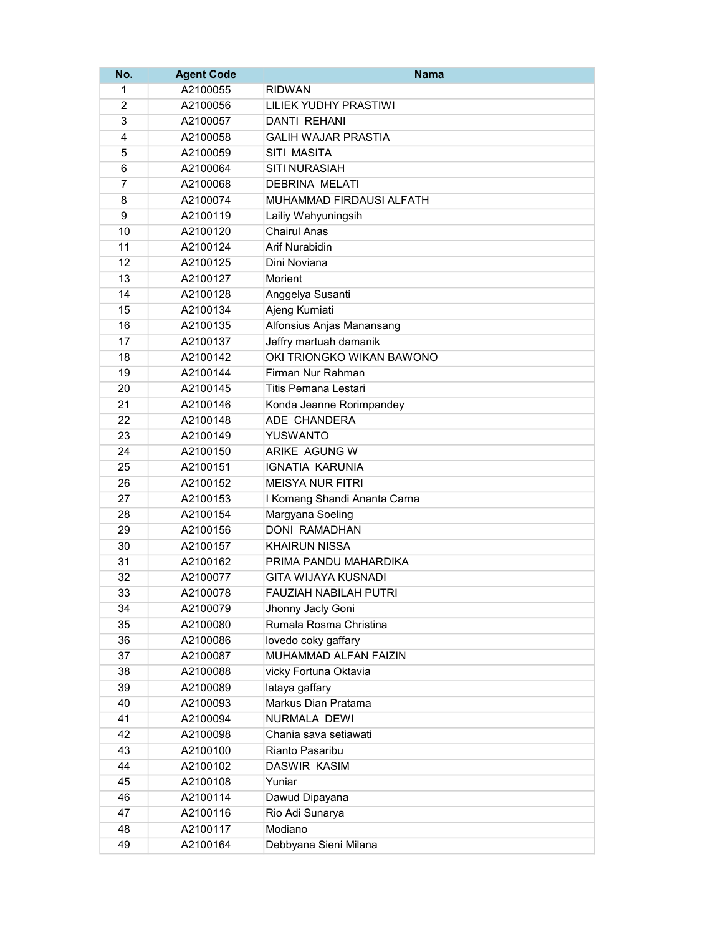| No.            | <b>Agent Code</b> | <b>Nama</b>                  |
|----------------|-------------------|------------------------------|
| 1              | A2100055          | <b>RIDWAN</b>                |
| $\overline{2}$ | A2100056          | <b>LILIEK YUDHY PRASTIWI</b> |
| 3              | A2100057          | <b>DANTI REHANI</b>          |
| 4              | A2100058          | <b>GALIH WAJAR PRASTIA</b>   |
| 5              | A2100059          | SITI MASITA                  |
| 6              | A2100064          | <b>SITI NURASIAH</b>         |
| $\overline{7}$ | A2100068          | <b>DEBRINA MELATI</b>        |
| 8              | A2100074          | MUHAMMAD FIRDAUSI ALFATH     |
| 9              | A2100119          | Lailiy Wahyuningsih          |
| 10             | A2100120          | <b>Chairul Anas</b>          |
| 11             | A2100124          | <b>Arif Nurabidin</b>        |
| 12             | A2100125          | Dini Noviana                 |
| 13             | A2100127          | Morient                      |
| 14             | A2100128          | Anggelya Susanti             |
| 15             | A2100134          | Ajeng Kurniati               |
| 16             | A2100135          | Alfonsius Anjas Manansang    |
| 17             | A2100137          | Jeffry martuah damanik       |
| 18             | A2100142          | OKI TRIONGKO WIKAN BAWONO    |
| 19             | A2100144          | Firman Nur Rahman            |
| 20             | A2100145          | Titis Pemana Lestari         |
| 21             | A2100146          | Konda Jeanne Rorimpandey     |
| 22             | A2100148          | ADE CHANDERA                 |
| 23             | A2100149          | <b>YUSWANTO</b>              |
| 24             | A2100150          | ARIKE AGUNG W                |
| 25             | A2100151          | <b>IGNATIA KARUNIA</b>       |
| 26             | A2100152          | <b>MEISYA NUR FITRI</b>      |
| 27             | A2100153          | I Komang Shandi Ananta Carna |
| 28             | A2100154          | Margyana Soeling             |
| 29             | A2100156          | <b>DONI RAMADHAN</b>         |
| 30             | A2100157          | <b>KHAIRUN NISSA</b>         |
| 31             | A2100162          | PRIMA PANDU MAHARDIKA        |
| 32             | A2100077          | <b>GITA WIJAYA KUSNADI</b>   |
| 33             | A2100078          | FAUZIAH NABILAH PUTRI        |
| 34             | A2100079          | Jhonny Jacly Goni            |
| 35             | A2100080          | Rumala Rosma Christina       |
| 36             | A2100086          | lovedo coky gaffary          |
| 37             | A2100087          | MUHAMMAD ALFAN FAIZIN        |
| 38             | A2100088          | vicky Fortuna Oktavia        |
| 39             | A2100089          | lataya gaffary               |
| 40             | A2100093          | Markus Dian Pratama          |
| 41             | A2100094          | NURMALA DEWI                 |
| 42             | A2100098          | Chania sava setiawati        |
| 43             | A2100100          | Rianto Pasaribu              |
| 44             | A2100102          | <b>DASWIR KASIM</b>          |
| 45             | A2100108          | Yuniar                       |
| 46             | A2100114          | Dawud Dipayana               |
| 47             | A2100116          | Rio Adi Sunarya              |
| 48             | A2100117          | Modiano                      |
| 49             | A2100164          | Debbyana Sieni Milana        |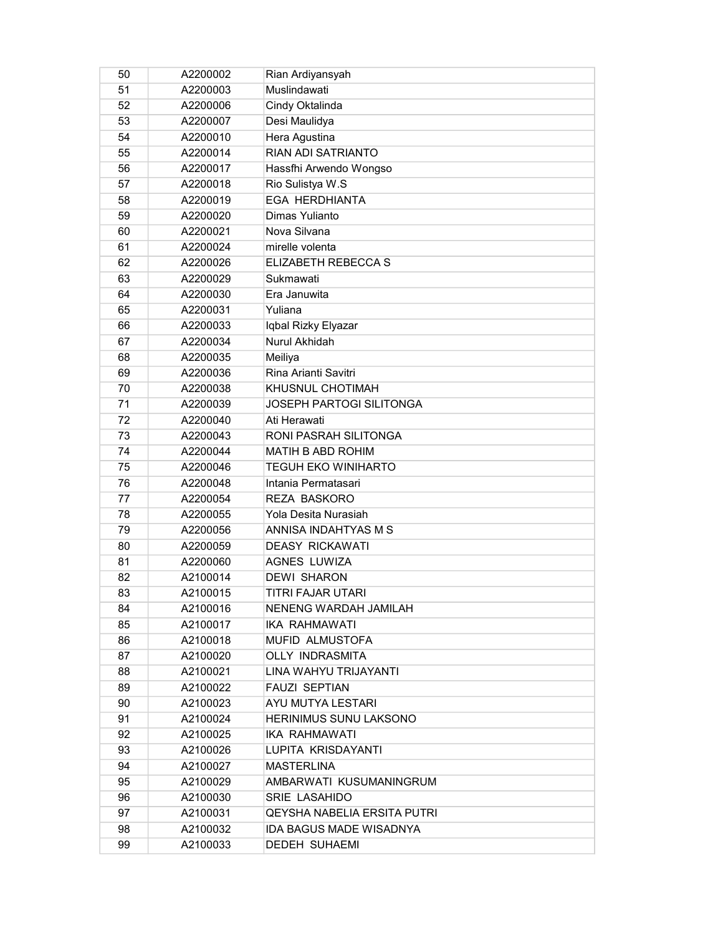| 50 | A2200002 | Rian Ardiyansyah                |
|----|----------|---------------------------------|
| 51 | A2200003 | Muslindawati                    |
| 52 | A2200006 | Cindy Oktalinda                 |
| 53 | A2200007 | Desi Maulidya                   |
| 54 | A2200010 | Hera Agustina                   |
| 55 | A2200014 | RIAN ADI SATRIANTO              |
| 56 | A2200017 | Hassfhi Arwendo Wongso          |
| 57 | A2200018 | Rio Sulistya W.S                |
| 58 | A2200019 | <b>EGA HERDHIANTA</b>           |
| 59 | A2200020 | Dimas Yulianto                  |
| 60 | A2200021 | Nova Silvana                    |
| 61 | A2200024 | mirelle volenta                 |
| 62 | A2200026 | ELIZABETH REBECCA S             |
| 63 | A2200029 | Sukmawati                       |
| 64 | A2200030 | Era Januwita                    |
| 65 | A2200031 | Yuliana                         |
| 66 | A2200033 | Iqbal Rizky Elyazar             |
| 67 | A2200034 | Nurul Akhidah                   |
| 68 | A2200035 | Meiliya                         |
| 69 | A2200036 | Rina Arianti Savitri            |
| 70 | A2200038 | KHUSNUL CHOTIMAH                |
| 71 | A2200039 | <b>JOSEPH PARTOGI SILITONGA</b> |
| 72 | A2200040 | Ati Herawati                    |
| 73 | A2200043 | RONI PASRAH SILITONGA           |
| 74 | A2200044 | MATIH B ABD ROHIM               |
| 75 | A2200046 | <b>TEGUH EKO WINIHARTO</b>      |
| 76 | A2200048 | Intania Permatasari             |
| 77 | A2200054 | <b>REZA BASKORO</b>             |
| 78 | A2200055 | Yola Desita Nurasiah            |
| 79 | A2200056 | ANNISA INDAHTYAS M S            |
| 80 | A2200059 | <b>DEASY RICKAWATI</b>          |
| 81 | A2200060 | <b>AGNES LUWIZA</b>             |
| 82 | A2100014 | <b>DEWI SHARON</b>              |
| 83 | A2100015 | TITRI FAJAR UTARI               |
| 84 | A2100016 | NENENG WARDAH JAMILAH           |
| 85 | A2100017 | <b>IKA RAHMAWATI</b>            |
| 86 | A2100018 | MUFID ALMUSTOFA                 |
| 87 | A2100020 | OLLY INDRASMITA                 |
| 88 | A2100021 | LINA WAHYU TRIJAYANTI           |
| 89 | A2100022 | <b>FAUZI SEPTIAN</b>            |
| 90 | A2100023 | AYU MUTYA LESTARI               |
| 91 | A2100024 | <b>HERINIMUS SUNU LAKSONO</b>   |
| 92 | A2100025 | <b>IKA RAHMAWATI</b>            |
| 93 | A2100026 | LUPITA KRISDAYANTI              |
| 94 | A2100027 | <b>MASTERLINA</b>               |
| 95 | A2100029 | AMBARWATI KUSUMANINGRUM         |
| 96 | A2100030 | SRIE LASAHIDO                   |
| 97 | A2100031 | QEYSHA NABELIA ERSITA PUTRI     |
| 98 | A2100032 | <b>IDA BAGUS MADE WISADNYA</b>  |
| 99 | A2100033 | <b>DEDEH SUHAEMI</b>            |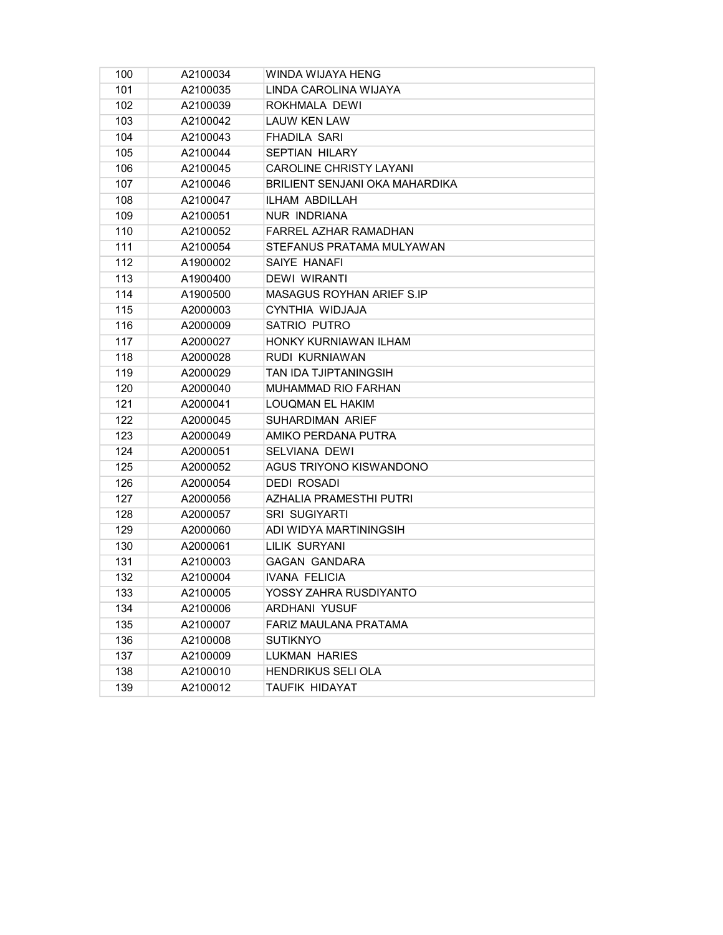| 100 | A2100034 | WINDA WIJAYA HENG                |
|-----|----------|----------------------------------|
| 101 | A2100035 | LINDA CAROLINA WIJAYA            |
| 102 | A2100039 | ROKHMALA DEWI                    |
| 103 | A2100042 | <b>LAUW KEN LAW</b>              |
| 104 | A2100043 | <b>FHADILA SARI</b>              |
| 105 | A2100044 | <b>SEPTIAN HILARY</b>            |
| 106 | A2100045 | <b>CAROLINE CHRISTY LAYANI</b>   |
| 107 | A2100046 | BRILIENT SENJANI OKA MAHARDIKA   |
| 108 | A2100047 | ILHAM ABDILLAH                   |
| 109 | A2100051 | <b>NUR INDRIANA</b>              |
| 110 | A2100052 | <b>FARREL AZHAR RAMADHAN</b>     |
| 111 | A2100054 | STEFANUS PRATAMA MULYAWAN        |
| 112 | A1900002 | SAIYE HANAFI                     |
| 113 | A1900400 | <b>DEWI WIRANTI</b>              |
| 114 | A1900500 | <b>MASAGUS ROYHAN ARIEF S.IP</b> |
| 115 | A2000003 | CYNTHIA WIDJAJA                  |
| 116 | A2000009 | SATRIO PUTRO                     |
| 117 | A2000027 | HONKY KURNIAWAN ILHAM            |
| 118 | A2000028 | RUDI KURNIAWAN                   |
| 119 | A2000029 | TAN IDA TJIPTANINGSIH            |
| 120 | A2000040 | <b>MUHAMMAD RIO FARHAN</b>       |
| 121 | A2000041 | <b>LOUQMAN EL HAKIM</b>          |
| 122 | A2000045 | SUHARDIMAN ARIEF                 |
| 123 | A2000049 | AMIKO PERDANA PUTRA              |
| 124 | A2000051 | <b>SELVIANA DEWI</b>             |
| 125 | A2000052 | AGUS TRIYONO KISWANDONO          |
| 126 | A2000054 | <b>DEDI ROSADI</b>               |
| 127 | A2000056 | <b>AZHALIA PRAMESTHI PUTRI</b>   |
| 128 | A2000057 | <b>SRI SUGIYARTI</b>             |
| 129 | A2000060 | ADI WIDYA MARTININGSIH           |
| 130 | A2000061 | LILIK SURYANI                    |
| 131 | A2100003 | <b>GAGAN GANDARA</b>             |
| 132 | A2100004 | <b>IVANA FELICIA</b>             |
| 133 | A2100005 | YOSSY ZAHRA RUSDIYANTO           |
| 134 | A2100006 | ARDHANI YUSUF                    |
| 135 | A2100007 | FARIZ MAULANA PRATAMA            |
| 136 | A2100008 | <b>SUTIKNYO</b>                  |
| 137 | A2100009 | <b>LUKMAN HARIES</b>             |
| 138 | A2100010 | HENDRIKUS SELI OLA               |
| 139 | A2100012 | TAUFIK HIDAYAT                   |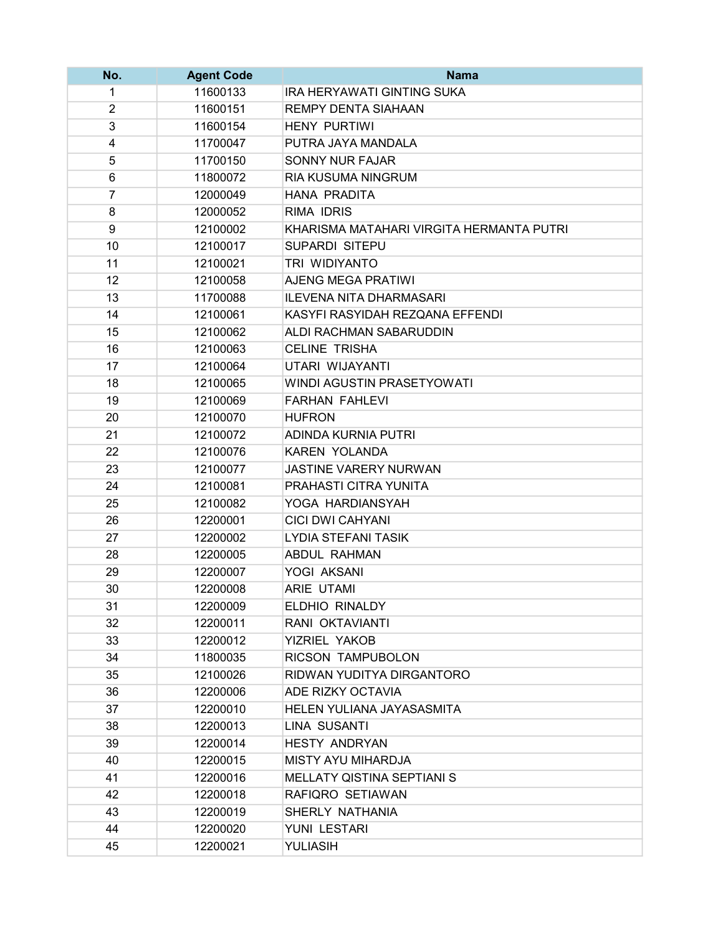| No.            | <b>Agent Code</b> | <b>Nama</b>                              |
|----------------|-------------------|------------------------------------------|
| 1              | 11600133          | <b>IRA HERYAWATI GINTING SUKA</b>        |
| $\overline{2}$ | 11600151          | <b>REMPY DENTA SIAHAAN</b>               |
| $\overline{3}$ | 11600154          | <b>HENY PURTIWI</b>                      |
| 4              | 11700047          | PUTRA JAYA MANDALA                       |
| 5              | 11700150          | SONNY NUR FAJAR                          |
| 6              | 11800072          | RIA KUSUMA NINGRUM                       |
| $\overline{7}$ | 12000049          | <b>HANA PRADITA</b>                      |
| 8              | 12000052          | <b>RIMA IDRIS</b>                        |
| 9              | 12100002          | KHARISMA MATAHARI VIRGITA HERMANTA PUTRI |
| 10             | 12100017          | <b>SUPARDI SITEPU</b>                    |
| 11             | 12100021          | TRI WIDIYANTO                            |
| 12             | 12100058          | <b>AJENG MEGA PRATIWI</b>                |
| 13             | 11700088          | <b>ILEVENA NITA DHARMASARI</b>           |
| 14             | 12100061          | KASYFI RASYIDAH REZQANA EFFENDI          |
| 15             | 12100062          | ALDI RACHMAN SABARUDDIN                  |
| 16             | 12100063          | <b>CELINE TRISHA</b>                     |
| 17             | 12100064          | UTARI WIJAYANTI                          |
| 18             | 12100065          | WINDI AGUSTIN PRASETYOWATI               |
| 19             | 12100069          | <b>FARHAN FAHLEVI</b>                    |
| 20             | 12100070          | <b>HUFRON</b>                            |
| 21             | 12100072          | ADINDA KURNIA PUTRI                      |
| 22             | 12100076          | <b>KAREN YOLANDA</b>                     |
| 23             | 12100077          | JASTINE VARERY NURWAN                    |
| 24             | 12100081          | PRAHASTI CITRA YUNITA                    |
| 25             | 12100082          | YOGA HARDIANSYAH                         |
| 26             | 12200001          | <b>CICI DWI CAHYANI</b>                  |
| 27             | 12200002          | <b>LYDIA STEFANI TASIK</b>               |
| 28             | 12200005          | <b>ABDUL RAHMAN</b>                      |
| 29             | 12200007          | YOGI AKSANI                              |
| 30             | 12200008          | ARIE UTAMI                               |
| 31             | 12200009          | ELDHIO RINALDY                           |
| 32             | 12200011          | RANI OKTAVIANTI                          |
| 33             | 12200012          | YIZRIEL YAKOB                            |
| 34             | 11800035          | RICSON TAMPUBOLON                        |
| 35             | 12100026          | RIDWAN YUDITYA DIRGANTORO                |
| 36             | 12200006          | ADE RIZKY OCTAVIA                        |
| 37             | 12200010          | HELEN YULIANA JAYASASMITA                |
| 38             | 12200013          | LINA SUSANTI                             |
| 39             | 12200014          | <b>HESTY ANDRYAN</b>                     |
| 40             | 12200015          | MISTY AYU MIHARDJA                       |
| 41             | 12200016          | <b>MELLATY QISTINA SEPTIANI S</b>        |
| 42             | 12200018          | RAFIQRO SETIAWAN                         |
| 43             | 12200019          | SHERLY NATHANIA                          |
| 44             | 12200020          | YUNI LESTARI                             |
| 45             | 12200021          | YULIASIH                                 |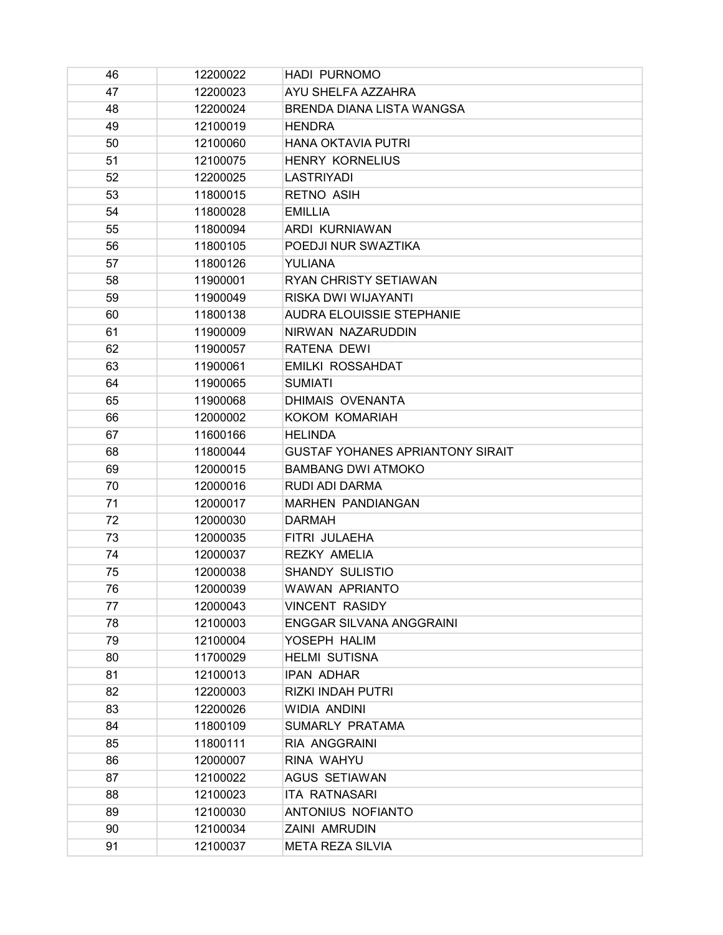| 46 | 12200022 | <b>HADI PURNOMO</b>                     |
|----|----------|-----------------------------------------|
| 47 | 12200023 | AYU SHELFA AZZAHRA                      |
| 48 | 12200024 | BRENDA DIANA LISTA WANGSA               |
| 49 | 12100019 | <b>HENDRA</b>                           |
| 50 | 12100060 | <b>HANA OKTAVIA PUTRI</b>               |
| 51 | 12100075 | <b>HENRY KORNELIUS</b>                  |
| 52 | 12200025 | <b>LASTRIYADI</b>                       |
| 53 | 11800015 | <b>RETNO ASIH</b>                       |
| 54 | 11800028 | <b>EMILLIA</b>                          |
| 55 | 11800094 | ARDI KURNIAWAN                          |
| 56 | 11800105 | POEDJI NUR SWAZTIKA                     |
| 57 | 11800126 | <b>YULIANA</b>                          |
| 58 | 11900001 | RYAN CHRISTY SETIAWAN                   |
| 59 | 11900049 | RISKA DWI WIJAYANTI                     |
| 60 | 11800138 | <b>AUDRA ELOUISSIE STEPHANIE</b>        |
| 61 | 11900009 | NIRWAN NAZARUDDIN                       |
| 62 | 11900057 | RATENA DEWI                             |
| 63 | 11900061 | <b>EMILKI ROSSAHDAT</b>                 |
| 64 | 11900065 | <b>SUMIATI</b>                          |
| 65 | 11900068 | <b>DHIMAIS OVENANTA</b>                 |
| 66 | 12000002 | KOKOM KOMARIAH                          |
| 67 | 11600166 | <b>HELINDA</b>                          |
| 68 | 11800044 | <b>GUSTAF YOHANES APRIANTONY SIRAIT</b> |
| 69 | 12000015 | <b>BAMBANG DWI ATMOKO</b>               |
| 70 | 12000016 | RUDI ADI DARMA                          |
| 71 | 12000017 | <b>MARHEN PANDIANGAN</b>                |
| 72 | 12000030 | <b>DARMAH</b>                           |
| 73 | 12000035 | FITRI JULAEHA                           |
| 74 | 12000037 | <b>REZKY AMELIA</b>                     |
| 75 | 12000038 | <b>SHANDY SULISTIO</b>                  |
| 76 | 12000039 | <b>WAWAN APRIANTO</b>                   |
| 77 | 12000043 | <b>VINCENT RASIDY</b>                   |
| 78 | 12100003 | <b>ENGGAR SILVANA ANGGRAINI</b>         |
| 79 | 12100004 | YOSEPH HALIM                            |
| 80 | 11700029 | <b>HELMI SUTISNA</b>                    |
| 81 | 12100013 | <b>IPAN ADHAR</b>                       |
| 82 | 12200003 | <b>RIZKI INDAH PUTRI</b>                |
| 83 | 12200026 | <b>WIDIA ANDINI</b>                     |
| 84 | 11800109 | SUMARLY PRATAMA                         |
| 85 | 11800111 | RIA ANGGRAINI                           |
| 86 | 12000007 | RINA WAHYU                              |
| 87 | 12100022 | <b>AGUS SETIAWAN</b>                    |
| 88 | 12100023 | <b>ITA RATNASARI</b>                    |
| 89 | 12100030 | ANTONIUS NOFIANTO                       |
| 90 | 12100034 | <b>ZAINI AMRUDIN</b>                    |
| 91 | 12100037 | <b>META REZA SILVIA</b>                 |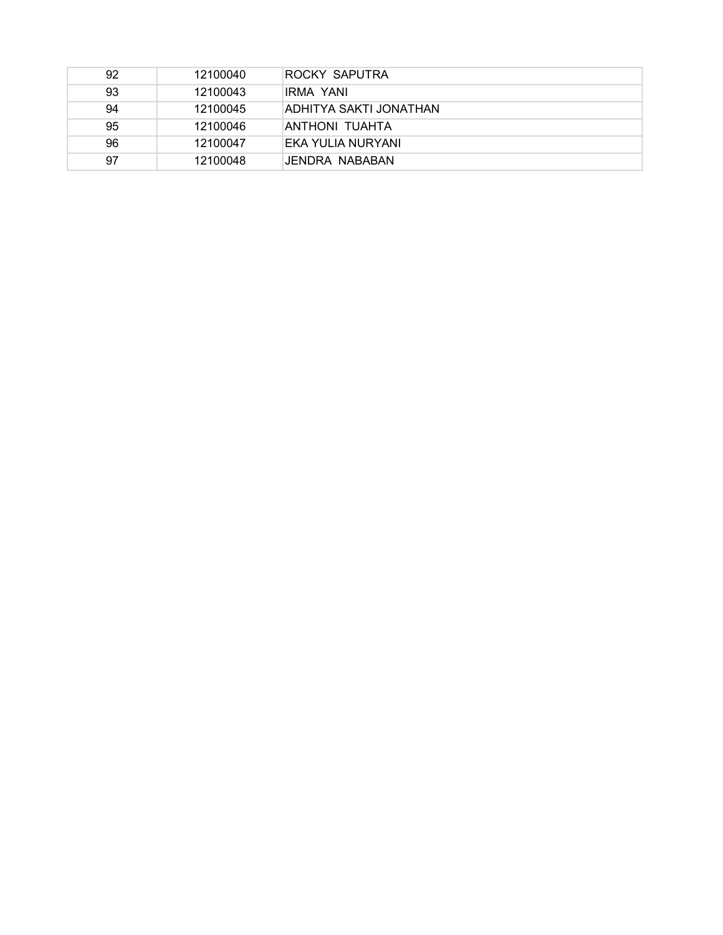| 92 | 12100040 | ROCKY SAPUTRA          |
|----|----------|------------------------|
| 93 | 12100043 | IRMA YANI              |
| 94 | 12100045 | ADHITYA SAKTI JONATHAN |
| 95 | 12100046 | ANTHONI TUAHTA         |
| 96 | 12100047 | EKA YULIA NURYANI      |
| 97 | 12100048 | JENDRA NABABAN         |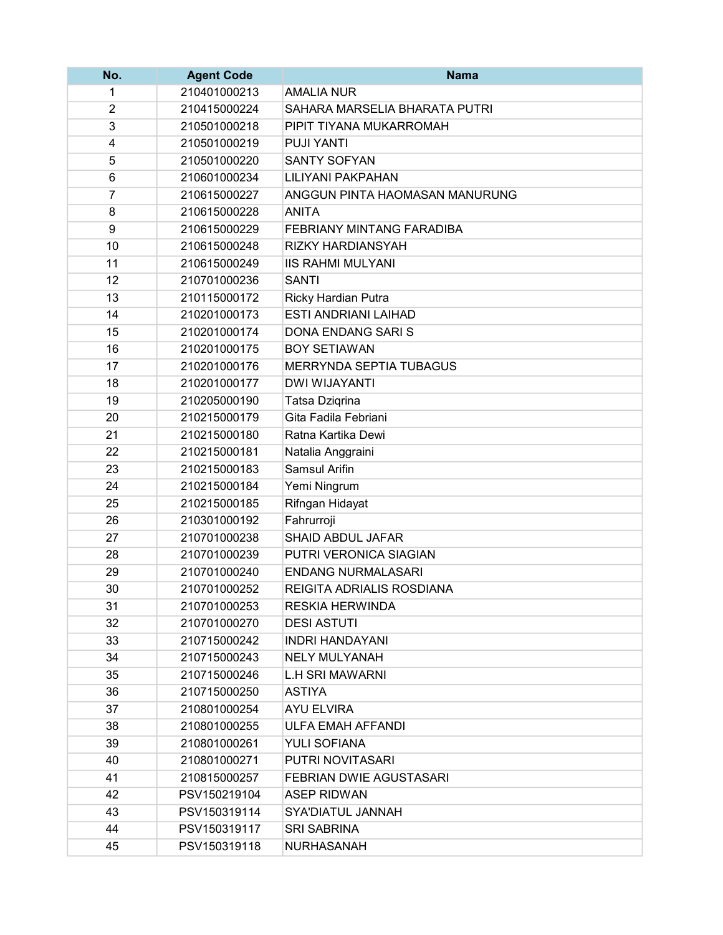| No. | <b>Agent Code</b> | <b>Nama</b>                      |
|-----|-------------------|----------------------------------|
| 1   | 210401000213      | <b>AMALIA NUR</b>                |
| 2   | 210415000224      | SAHARA MARSELIA BHARATA PUTRI    |
| 3   | 210501000218      | PIPIT TIYANA MUKARROMAH          |
| 4   | 210501000219      | <b>PUJI YANTI</b>                |
| 5   | 210501000220      | <b>SANTY SOFYAN</b>              |
| 6   | 210601000234      | <b>LILIYANI PAKPAHAN</b>         |
| 7   | 210615000227      | ANGGUN PINTA HAOMASAN MANURUNG   |
| 8   | 210615000228      | <b>ANITA</b>                     |
| 9   | 210615000229      | <b>FEBRIANY MINTANG FARADIBA</b> |
| 10  | 210615000248      | RIZKY HARDIANSYAH                |
| 11  | 210615000249      | <b>IIS RAHMI MULYANI</b>         |
| 12  | 210701000236      | <b>SANTI</b>                     |
| 13  | 210115000172      | Ricky Hardian Putra              |
| 14  | 210201000173      | <b>ESTI ANDRIANI LAIHAD</b>      |
| 15  | 210201000174      | <b>DONA ENDANG SARIS</b>         |
| 16  | 210201000175      | <b>BOY SETIAWAN</b>              |
| 17  | 210201000176      | <b>MERRYNDA SEPTIA TUBAGUS</b>   |
| 18  | 210201000177      | <b>DWI WIJAYANTI</b>             |
| 19  | 210205000190      | Tatsa Dzigrina                   |
| 20  | 210215000179      | Gita Fadila Febriani             |
| 21  | 210215000180      | Ratna Kartika Dewi               |
| 22  | 210215000181      | Natalia Anggraini                |
| 23  | 210215000183      | <b>Samsul Arifin</b>             |
| 24  | 210215000184      | Yemi Ningrum                     |
| 25  | 210215000185      | Rifngan Hidayat                  |
| 26  | 210301000192      | Fahrurroji                       |
| 27  | 210701000238      | SHAID ABDUL JAFAR                |
| 28  | 210701000239      | PUTRI VERONICA SIAGIAN           |
| 29  | 210701000240      | <b>ENDANG NURMALASARI</b>        |
| 30  | 210701000252      | REIGITA ADRIALIS ROSDIANA        |
| 31  | 210701000253      | RESKIA HERWINDA                  |
| 32  | 210701000270      | <b>DESI ASTUTI</b>               |
| 33  | 210715000242      | <b>INDRI HANDAYANI</b>           |
| 34  | 210715000243      | <b>NELY MULYANAH</b>             |
| 35  | 210715000246      | <b>L.H SRI MAWARNI</b>           |
| 36  | 210715000250      | <b>ASTIYA</b>                    |
| 37  | 210801000254      | <b>AYU ELVIRA</b>                |
| 38  | 210801000255      | <b>ULFA EMAH AFFANDI</b>         |
| 39  | 210801000261      | <b>YULI SOFIANA</b>              |
| 40  | 210801000271      | PUTRI NOVITASARI                 |
| 41  | 210815000257      | <b>FEBRIAN DWIE AGUSTASARI</b>   |
| 42  | PSV150219104      | <b>ASEP RIDWAN</b>               |
| 43  | PSV150319114      | SYA'DIATUL JANNAH                |
| 44  | PSV150319117      | <b>SRI SABRINA</b>               |
| 45  | PSV150319118      | NURHASANAH                       |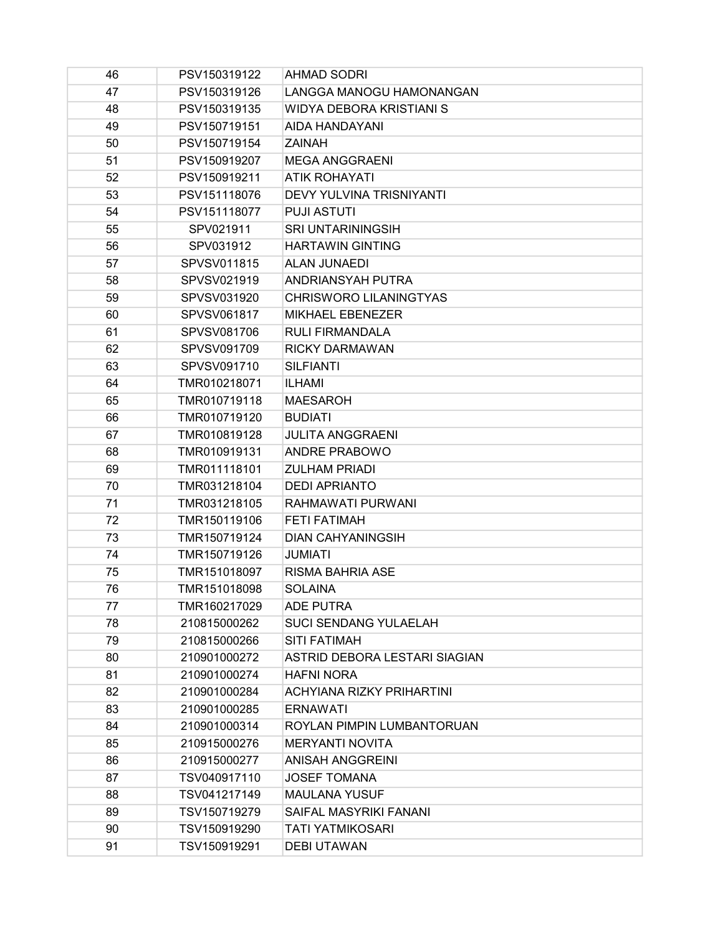| 46 | PSV150319122 | <b>AHMAD SODRI</b>              |
|----|--------------|---------------------------------|
| 47 | PSV150319126 | LANGGA MANOGU HAMONANGAN        |
| 48 | PSV150319135 | <b>WIDYA DEBORA KRISTIANI S</b> |
| 49 | PSV150719151 | AIDA HANDAYANI                  |
| 50 | PSV150719154 | ZAINAH                          |
| 51 | PSV150919207 | <b>MEGA ANGGRAENI</b>           |
| 52 | PSV150919211 | <b>ATIK ROHAYATI</b>            |
| 53 | PSV151118076 | <b>DEVY YULVINA TRISNIYANTI</b> |
| 54 | PSV151118077 | <b>PUJI ASTUTI</b>              |
| 55 | SPV021911    | <b>SRI UNTARININGSIH</b>        |
| 56 | SPV031912    | <b>HARTAWIN GINTING</b>         |
| 57 | SPVSV011815  | <b>ALAN JUNAEDI</b>             |
| 58 | SPVSV021919  | ANDRIANSYAH PUTRA               |
| 59 | SPVSV031920  | CHRISWORO LILANINGTYAS          |
| 60 | SPVSV061817  | <b>MIKHAEL EBENEZER</b>         |
| 61 | SPVSV081706  | <b>RULI FIRMANDALA</b>          |
| 62 | SPVSV091709  | <b>RICKY DARMAWAN</b>           |
| 63 | SPVSV091710  | <b>SILFIANTI</b>                |
| 64 | TMR010218071 | <b>ILHAMI</b>                   |
| 65 | TMR010719118 | <b>MAESAROH</b>                 |
| 66 | TMR010719120 | <b>BUDIATI</b>                  |
| 67 | TMR010819128 | <b>JULITA ANGGRAENI</b>         |
| 68 | TMR010919131 | <b>ANDRE PRABOWO</b>            |
| 69 | TMR011118101 | <b>ZULHAM PRIADI</b>            |
| 70 | TMR031218104 | <b>DEDI APRIANTO</b>            |
| 71 | TMR031218105 | RAHMAWATI PURWANI               |
| 72 | TMR150119106 | <b>FETI FATIMAH</b>             |
| 73 | TMR150719124 | <b>DIAN CAHYANINGSIH</b>        |
| 74 | TMR150719126 | <b>JUMIATI</b>                  |
| 75 | TMR151018097 | <b>RISMA BAHRIA ASE</b>         |
| 76 | TMR151018098 | <b>SOLAINA</b>                  |
| 77 | TMR160217029 | <b>ADE PUTRA</b>                |
| 78 | 210815000262 | <b>SUCI SENDANG YULAELAH</b>    |
| 79 | 210815000266 | <b>SITI FATIMAH</b>             |
| 80 | 210901000272 | ASTRID DEBORA LESTARI SIAGIAN   |
| 81 | 210901000274 | <b>HAFNI NORA</b>               |
| 82 | 210901000284 | ACHYIANA RIZKY PRIHARTINI       |
| 83 | 210901000285 | <b>ERNAWATI</b>                 |
| 84 | 210901000314 | ROYLAN PIMPIN LUMBANTORUAN      |
| 85 | 210915000276 | <b>MERYANTI NOVITA</b>          |
| 86 | 210915000277 | <b>ANISAH ANGGREINI</b>         |
| 87 | TSV040917110 | <b>JOSEF TOMANA</b>             |
| 88 | TSV041217149 | <b>MAULANA YUSUF</b>            |
| 89 | TSV150719279 | SAIFAL MASYRIKI FANANI          |
| 90 | TSV150919290 | TATI YATMIKOSARI                |
| 91 | TSV150919291 | <b>DEBI UTAWAN</b>              |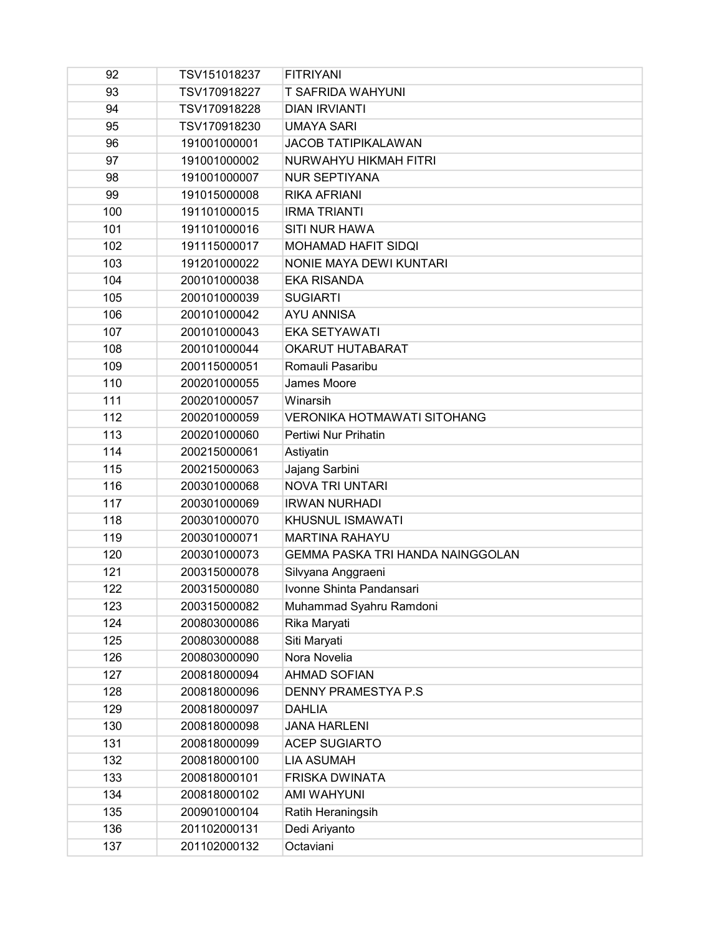| 92  | TSV151018237 | <b>FITRIYANI</b>                   |
|-----|--------------|------------------------------------|
| 93  | TSV170918227 | <b>T SAFRIDA WAHYUNI</b>           |
| 94  | TSV170918228 | <b>DIAN IRVIANTI</b>               |
| 95  | TSV170918230 | <b>UMAYA SARI</b>                  |
| 96  | 191001000001 | <b>JACOB TATIPIKALAWAN</b>         |
| 97  | 191001000002 | NURWAHYU HIKMAH FITRI              |
| 98  | 191001000007 | <b>NUR SEPTIYANA</b>               |
| 99  | 191015000008 | <b>RIKA AFRIANI</b>                |
| 100 | 191101000015 | <b>IRMA TRIANTI</b>                |
| 101 | 191101000016 | <b>SITI NUR HAWA</b>               |
| 102 | 191115000017 | <b>MOHAMAD HAFIT SIDQI</b>         |
| 103 | 191201000022 | NONIE MAYA DEWI KUNTARI            |
| 104 | 200101000038 | <b>EKA RISANDA</b>                 |
| 105 | 200101000039 | <b>SUGIARTI</b>                    |
| 106 | 200101000042 | <b>AYU ANNISA</b>                  |
| 107 | 200101000043 | <b>EKA SETYAWATI</b>               |
| 108 | 200101000044 | <b>OKARUT HUTABARAT</b>            |
| 109 | 200115000051 | Romauli Pasaribu                   |
| 110 | 200201000055 | James Moore                        |
| 111 | 200201000057 | Winarsih                           |
| 112 | 200201000059 | <b>VERONIKA HOTMAWATI SITOHANG</b> |
| 113 | 200201000060 | Pertiwi Nur Prihatin               |
| 114 | 200215000061 | Astiyatin                          |
| 115 | 200215000063 | Jajang Sarbini                     |
| 116 | 200301000068 | <b>NOVA TRI UNTARI</b>             |
| 117 | 200301000069 | <b>IRWAN NURHADI</b>               |
| 118 | 200301000070 | KHUSNUL ISMAWATI                   |
| 119 | 200301000071 | <b>MARTINA RAHAYU</b>              |
| 120 | 200301000073 | GEMMA PASKA TRI HANDA NAINGGOLAN   |
| 121 | 200315000078 | Silvyana Anggraeni                 |
| 122 | 200315000080 | Ivonne Shinta Pandansari           |
| 123 | 200315000082 | Muhammad Syahru Ramdoni            |
| 124 | 200803000086 | Rika Maryati                       |
| 125 | 200803000088 | Siti Maryati                       |
| 126 | 200803000090 | Nora Novelia                       |
| 127 | 200818000094 | <b>AHMAD SOFIAN</b>                |
| 128 | 200818000096 | <b>DENNY PRAMESTYA P.S</b>         |
| 129 | 200818000097 | <b>DAHLIA</b>                      |
| 130 | 200818000098 | <b>JANA HARLENI</b>                |
| 131 | 200818000099 | <b>ACEP SUGIARTO</b>               |
| 132 | 200818000100 | <b>LIA ASUMAH</b>                  |
| 133 | 200818000101 | <b>FRISKA DWINATA</b>              |
| 134 | 200818000102 | <b>AMI WAHYUNI</b>                 |
| 135 | 200901000104 | Ratih Heraningsih                  |
| 136 | 201102000131 | Dedi Ariyanto                      |
| 137 | 201102000132 | Octaviani                          |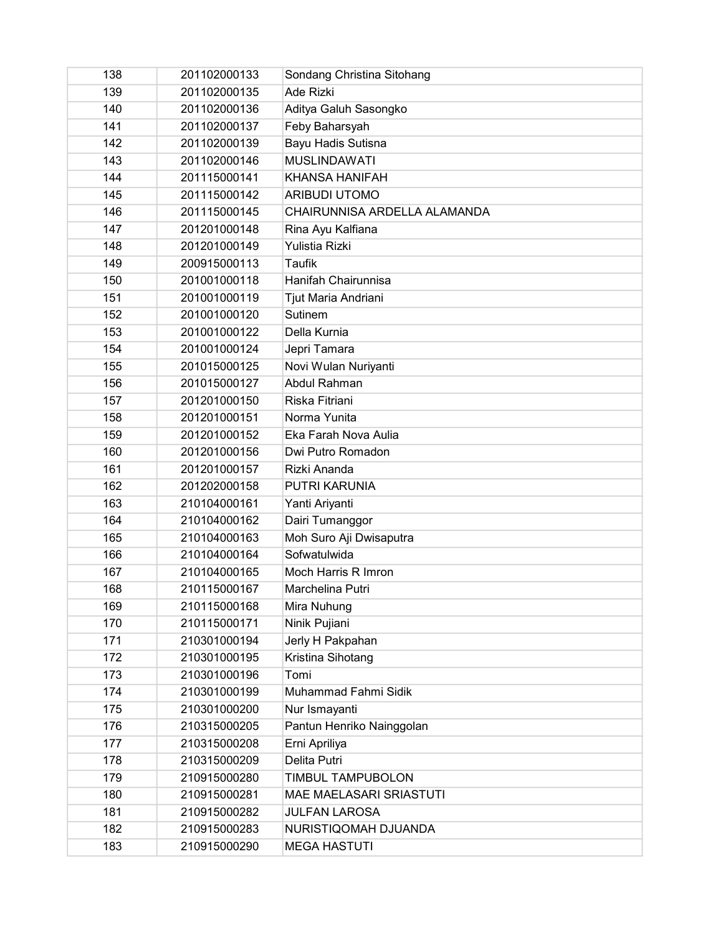| 138 | 201102000133 | Sondang Christina Sitohang   |
|-----|--------------|------------------------------|
| 139 | 201102000135 | Ade Rizki                    |
| 140 | 201102000136 | Aditya Galuh Sasongko        |
| 141 | 201102000137 | Feby Baharsyah               |
| 142 | 201102000139 | Bayu Hadis Sutisna           |
| 143 | 201102000146 | <b>MUSLINDAWATI</b>          |
| 144 | 201115000141 | <b>KHANSA HANIFAH</b>        |
| 145 | 201115000142 | <b>ARIBUDI UTOMO</b>         |
| 146 | 201115000145 | CHAIRUNNISA ARDELLA ALAMANDA |
| 147 | 201201000148 | Rina Ayu Kalfiana            |
| 148 | 201201000149 | <b>Yulistia Rizki</b>        |
| 149 | 200915000113 | <b>Taufik</b>                |
| 150 | 201001000118 | Hanifah Chairunnisa          |
| 151 | 201001000119 | Tjut Maria Andriani          |
| 152 | 201001000120 | Sutinem                      |
| 153 | 201001000122 | Della Kurnia                 |
| 154 | 201001000124 | Jepri Tamara                 |
| 155 | 201015000125 | Novi Wulan Nuriyanti         |
| 156 | 201015000127 | Abdul Rahman                 |
| 157 | 201201000150 | Riska Fitriani               |
| 158 | 201201000151 | Norma Yunita                 |
| 159 | 201201000152 | Eka Farah Nova Aulia         |
| 160 | 201201000156 | Dwi Putro Romadon            |
| 161 | 201201000157 | Rizki Ananda                 |
| 162 | 201202000158 | PUTRI KARUNIA                |
| 163 | 210104000161 | Yanti Ariyanti               |
| 164 | 210104000162 | Dairi Tumanggor              |
| 165 | 210104000163 | Moh Suro Aji Dwisaputra      |
| 166 | 210104000164 | Sofwatulwida                 |
| 167 | 210104000165 | Moch Harris R Imron          |
| 168 | 210115000167 | Marchelina Putri             |
| 169 | 210115000168 | Mira Nuhung                  |
| 170 | 210115000171 | Ninik Pujiani                |
| 171 | 210301000194 | Jerly H Pakpahan             |
| 172 | 210301000195 | Kristina Sihotang            |
| 173 | 210301000196 | Tomi                         |
| 174 | 210301000199 | Muhammad Fahmi Sidik         |
| 175 | 210301000200 | Nur Ismayanti                |
| 176 | 210315000205 | Pantun Henriko Nainggolan    |
| 177 | 210315000208 | Erni Apriliya                |
| 178 | 210315000209 | Delita Putri                 |
| 179 | 210915000280 | TIMBUL TAMPUBOLON            |
| 180 | 210915000281 | MAE MAELASARI SRIASTUTI      |
| 181 | 210915000282 | <b>JULFAN LAROSA</b>         |
| 182 | 210915000283 | NURISTIQOMAH DJUANDA         |
| 183 | 210915000290 | <b>MEGA HASTUTI</b>          |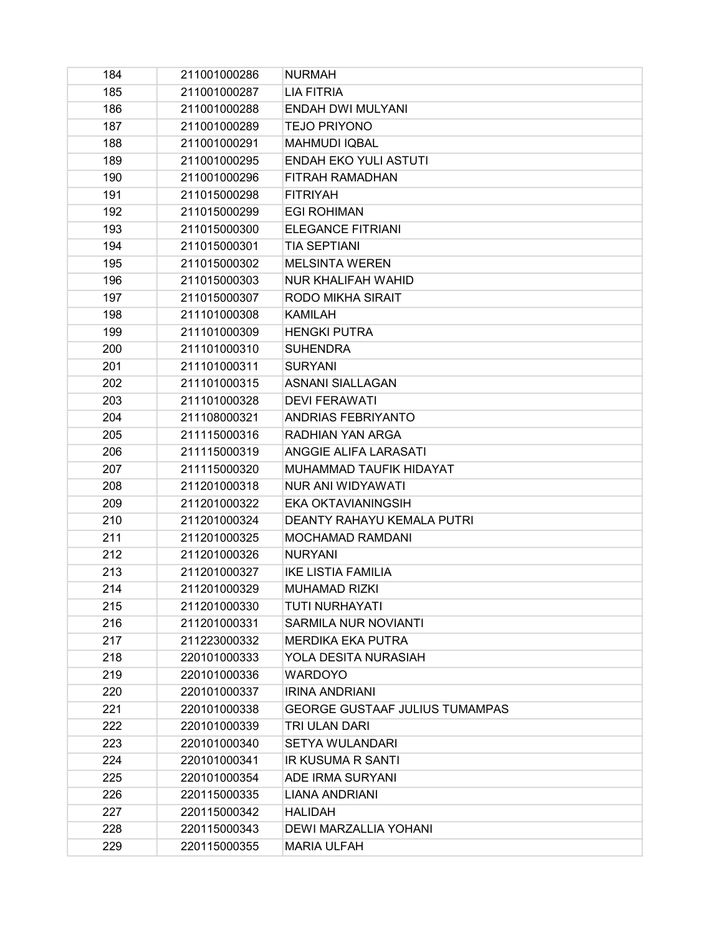| 184 | 211001000286 | <b>NURMAH</b>                         |
|-----|--------------|---------------------------------------|
| 185 | 211001000287 | LIA FITRIA                            |
| 186 | 211001000288 | <b>ENDAH DWI MULYANI</b>              |
| 187 | 211001000289 | <b>TEJO PRIYONO</b>                   |
| 188 | 211001000291 | <b>MAHMUDI IQBAL</b>                  |
| 189 | 211001000295 | <b>ENDAH EKO YULI ASTUTI</b>          |
| 190 | 211001000296 | FITRAH RAMADHAN                       |
| 191 | 211015000298 | <b>FITRIYAH</b>                       |
| 192 | 211015000299 | <b>EGI ROHIMAN</b>                    |
| 193 | 211015000300 | <b>ELEGANCE FITRIANI</b>              |
| 194 | 211015000301 | <b>TIA SEPTIANI</b>                   |
| 195 | 211015000302 | <b>MELSINTA WEREN</b>                 |
| 196 | 211015000303 | <b>NUR KHALIFAH WAHID</b>             |
| 197 | 211015000307 | <b>RODO MIKHA SIRAIT</b>              |
| 198 | 211101000308 | <b>KAMILAH</b>                        |
| 199 | 211101000309 | <b>HENGKI PUTRA</b>                   |
| 200 | 211101000310 | <b>SUHENDRA</b>                       |
| 201 | 211101000311 | <b>SURYANI</b>                        |
| 202 | 211101000315 | <b>ASNANI SIALLAGAN</b>               |
| 203 | 211101000328 | <b>DEVI FERAWATI</b>                  |
| 204 | 211108000321 | <b>ANDRIAS FEBRIYANTO</b>             |
| 205 | 211115000316 | RADHIAN YAN ARGA                      |
| 206 | 211115000319 | <b>ANGGIE ALIFA LARASATI</b>          |
| 207 | 211115000320 | MUHAMMAD TAUFIK HIDAYAT               |
| 208 | 211201000318 | NUR ANI WIDYAWATI                     |
| 209 | 211201000322 | <b>EKA OKTAVIANINGSIH</b>             |
| 210 | 211201000324 | <b>DEANTY RAHAYU KEMALA PUTRI</b>     |
| 211 | 211201000325 | MOCHAMAD RAMDANI                      |
| 212 | 211201000326 | <b>NURYANI</b>                        |
| 213 | 211201000327 | <b>IKE LISTIA FAMILIA</b>             |
| 214 | 211201000329 | <b>MUHAMAD RIZKI</b>                  |
| 215 | 211201000330 | <b>TUTI NURHAYATI</b>                 |
| 216 | 211201000331 | <b>SARMILA NUR NOVIANTI</b>           |
| 217 | 211223000332 | <b>MERDIKA EKA PUTRA</b>              |
| 218 | 220101000333 | YOLA DESITA NURASIAH                  |
| 219 | 220101000336 | <b>WARDOYO</b>                        |
| 220 | 220101000337 | <b>IRINA ANDRIANI</b>                 |
| 221 | 220101000338 | <b>GEORGE GUSTAAF JULIUS TUMAMPAS</b> |
| 222 | 220101000339 | TRI ULAN DARI                         |
| 223 | 220101000340 | SETYA WULANDARI                       |
| 224 | 220101000341 | <b>IR KUSUMA R SANTI</b>              |
| 225 | 220101000354 | ADE IRMA SURYANI                      |
| 226 | 220115000335 | LIANA ANDRIANI                        |
| 227 | 220115000342 | <b>HALIDAH</b>                        |
| 228 | 220115000343 | DEWI MARZALLIA YOHANI                 |
| 229 | 220115000355 | <b>MARIA ULFAH</b>                    |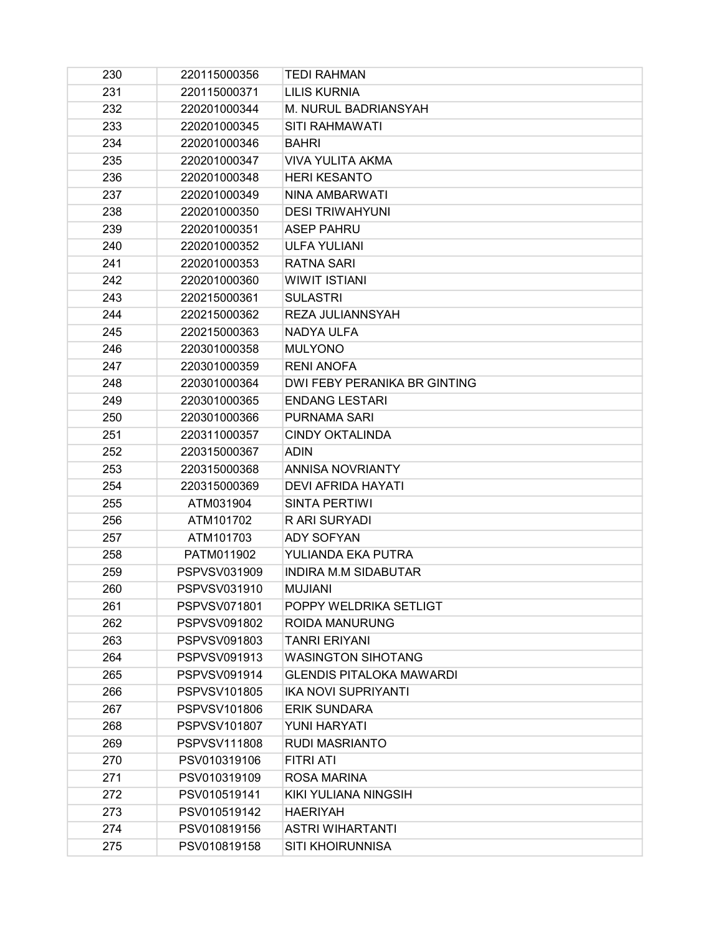| 230 | 220115000356        | <b>TEDI RAHMAN</b>              |
|-----|---------------------|---------------------------------|
| 231 | 220115000371        | LILIS KURNIA                    |
| 232 | 220201000344        | M. NURUL BADRIANSYAH            |
| 233 | 220201000345        | <b>SITI RAHMAWATI</b>           |
| 234 | 220201000346        | <b>BAHRI</b>                    |
| 235 | 220201000347        | VIVA YULITA AKMA                |
| 236 | 220201000348        | <b>HERI KESANTO</b>             |
| 237 | 220201000349        | NINA AMBARWATI                  |
| 238 | 220201000350        | <b>DESI TRIWAHYUNI</b>          |
| 239 | 220201000351        | <b>ASEP PAHRU</b>               |
| 240 | 220201000352        | <b>ULFA YULIANI</b>             |
| 241 | 220201000353        | <b>RATNA SARI</b>               |
| 242 | 220201000360        | <b>WIWIT ISTIANI</b>            |
| 243 | 220215000361        | <b>SULASTRI</b>                 |
| 244 | 220215000362        | REZA JULIANNSYAH                |
| 245 | 220215000363        | NADYA ULFA                      |
| 246 | 220301000358        | <b>MULYONO</b>                  |
| 247 | 220301000359        | <b>RENI ANOFA</b>               |
| 248 | 220301000364        | DWI FEBY PERANIKA BR GINTING    |
| 249 | 220301000365        | <b>ENDANG LESTARI</b>           |
| 250 | 220301000366        | <b>PURNAMA SARI</b>             |
| 251 | 220311000357        | <b>CINDY OKTALINDA</b>          |
| 252 | 220315000367        | <b>ADIN</b>                     |
| 253 | 220315000368        | <b>ANNISA NOVRIANTY</b>         |
| 254 | 220315000369        | <b>DEVI AFRIDA HAYATI</b>       |
| 255 | ATM031904           | SINTA PERTIWI                   |
| 256 | ATM101702           | R ARI SURYADI                   |
| 257 | ATM101703           | <b>ADY SOFYAN</b>               |
| 258 | PATM011902          | YULIANDA EKA PUTRA              |
| 259 | PSPVSV031909        | INDIRA M.M SIDABUTAR            |
| 260 | PSPVSV031910        | <b>MUJIANI</b>                  |
| 261 | PSPVSV071801        | POPPY WELDRIKA SETLIGT          |
| 262 | PSPVSV091802        | <b>ROIDA MANURUNG</b>           |
| 263 | PSPVSV091803        | <b>TANRI ERIYANI</b>            |
| 264 | PSPVSV091913        | <b>WASINGTON SIHOTANG</b>       |
| 265 | PSPVSV091914        | <b>GLENDIS PITALOKA MAWARDI</b> |
| 266 | <b>PSPVSV101805</b> | <b>IKA NOVI SUPRIYANTI</b>      |
| 267 | PSPVSV101806        | <b>ERIK SUNDARA</b>             |
| 268 | PSPVSV101807        | YUNI HARYATI                    |
| 269 | PSPVSV111808        | <b>RUDI MASRIANTO</b>           |
| 270 | PSV010319106        | FITRI ATI                       |
| 271 | PSV010319109        | ROSA MARINA                     |
| 272 | PSV010519141        | KIKI YULIANA NINGSIH            |
| 273 | PSV010519142        | <b>HAERIYAH</b>                 |
| 274 | PSV010819156        | <b>ASTRI WIHARTANTI</b>         |
| 275 | PSV010819158        | SITI KHOIRUNNISA                |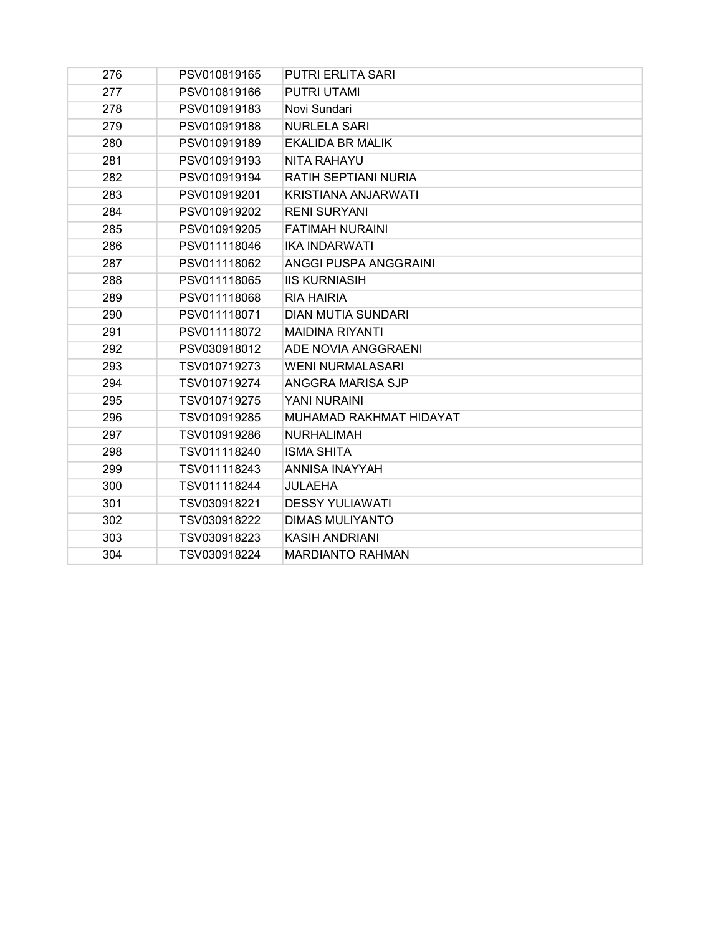| 276 | PSV010819165 | <b>PUTRI ERLITA SARI</b>   |
|-----|--------------|----------------------------|
| 277 | PSV010819166 | <b>PUTRI UTAMI</b>         |
| 278 | PSV010919183 | Novi Sundari               |
| 279 | PSV010919188 | <b>NURLELA SARI</b>        |
| 280 | PSV010919189 | EKALIDA BR MALIK           |
| 281 | PSV010919193 | <b>NITA RAHAYU</b>         |
| 282 | PSV010919194 | RATIH SEPTIANI NURIA       |
| 283 | PSV010919201 | <b>KRISTIANA ANJARWATI</b> |
| 284 | PSV010919202 | <b>RENI SURYANI</b>        |
| 285 | PSV010919205 | <b>FATIMAH NURAINI</b>     |
| 286 | PSV011118046 | <b>IKA INDARWATI</b>       |
| 287 | PSV011118062 | ANGGI PUSPA ANGGRAINI      |
| 288 | PSV011118065 | <b>IIS KURNIASIH</b>       |
| 289 | PSV011118068 | <b>RIA HAIRIA</b>          |
| 290 | PSV011118071 | <b>DIAN MUTIA SUNDARI</b>  |
| 291 | PSV011118072 | <b>MAIDINA RIYANTI</b>     |
| 292 | PSV030918012 | ADE NOVIA ANGGRAENI        |
| 293 | TSV010719273 | <b>WENI NURMALASARI</b>    |
| 294 | TSV010719274 | ANGGRA MARISA SJP          |
| 295 | TSV010719275 | YANI NURAINI               |
| 296 | TSV010919285 | MUHAMAD RAKHMAT HIDAYAT    |
| 297 | TSV010919286 | <b>NURHALIMAH</b>          |
| 298 | TSV011118240 | <b>ISMA SHITA</b>          |
| 299 | TSV011118243 | <b>ANNISA INAYYAH</b>      |
| 300 | TSV011118244 | JULAEHA                    |
| 301 | TSV030918221 | <b>DESSY YULIAWATI</b>     |
| 302 | TSV030918222 | <b>DIMAS MULIYANTO</b>     |
| 303 | TSV030918223 | <b>KASIH ANDRIANI</b>      |
| 304 | TSV030918224 | <b>MARDIANTO RAHMAN</b>    |